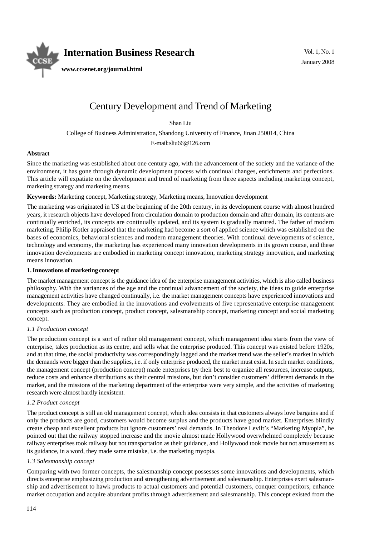

# Century Development and Trend of Marketing

Shan Liu

College of Business Administration, Shandong University of Finance, Jinan 250014, China

E-mail: sliu66@126.com

# **Abstract**

Since the marketing was established about one century ago, with the advancement of the society and the variance of the environment, it has gone through dynamic development process with continual changes, enrichments and perfections. This article will expatiate on the development and trend of marketing from three aspects including marketing concept, marketing strategy and marketing means.

**Keywords:** Marketing concept, Marketing strategy, Marketing means, Innovation development

The marketing was originated in US at the beginning of the 20th century, in its development course with almost hundred years, it research objects have developed from circulation domain to production domain and after domain, its contents are continually enriched, its concepts are continually updated, and its system is gradually matured. The father of modern marketing, Philip Kotler appraised that the marketing had become a sort of applied science which was established on the bases of economics, behavioral sciences and modern management theories. With continual developments of science, technology and economy, the marketing has experienced many innovation developments in its grown course, and these innovation developments are embodied in marketing concept innovation, marketing strategy innovation, and marketing means innovation.

# **1. Innovations of marketing concept**

The market management concept is the guidance idea of the enterprise management activities, which is also called business philosophy. With the variances of the age and the continual advancement of the society, the ideas to guide enterprise management activities have changed continually, i.e. the market management concepts have experienced innovations and developments. They are embodied in the innovations and evolvements of five representative enterprise management concepts such as production concept, product concept, salesmanship concept, marketing concept and social marketing concept.

# *1.1 Production concept*

The production concept is a sort of rather old management concept, which management idea starts from the view of enterprise, takes production as its centre, and sells what the enterprise produced. This concept was existed before 1920s, and at that time, the social productivity was correspondingly lagged and the market trend was the seller's market in which the demands were bigger than the supplies, i.e. if only enterprise produced, the market must exist. In such market conditions, the management concept (production concept) made enterprises try their best to organize all resources, increase outputs, reduce costs and enhance distributions as their central missions, but don't consider customers' different demands in the market, and the missions of the marketing department of the enterprise were very simple, and the activities of marketing research were almost hardly inexistent.

#### *1.2 Product concept*

The product concept is still an old management concept, which idea consists in that customers always love bargains and if only the products are good, customers would become surplus and the products have good market. Enterprises blindly create cheap and excellent products but ignore customers' real demands. In Theodore Levilt's "Marketing Myopia", he pointed out that the railway stopped increase and the movie almost made Hollywood overwhelmed completely because railway enterprises took railway but not transportation as their guidance, and Hollywood took movie but not amusement as its guidance, in a word, they made same mistake, i.e. the marketing myopia.

# *1.3 Salesmanship concept*

Comparing with two former concepts, the salesmanship concept possesses some innovations and developments, which directs enterprise emphasizing production and strengthening advertisement and salesmanship. Enterprises exert salesmanship and advertisement to hawk products to actual customers and potential customers, conquer competitors, enhance market occupation and acquire abundant profits through advertisement and salesmanship. This concept existed from the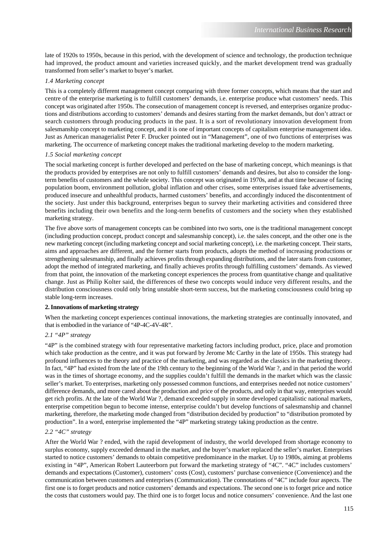late of 1920s to 1950s, because in this period, with the development of science and technology, the production technique had improved, the product amount and varieties increased quickly, and the market development trend was gradually transformed from seller's market to buyer's market.

# *1.4 Marketing concept*

This is a completely different management concept comparing with three former concepts, which means that the start and centre of the enterprise marketing is to fulfill customers' demands, i.e. enterprise produce what customers' needs. This concept was originated after 1950s. The consecution of management concept is reversed, and enterprises organize productions and distributions according to customers' demands and desires starting from the market demands, but don't attract or search customers through producing products in the past. It is a sort of revolutionary innovation development from salesmanship concept to marketing concept, and it is one of important concepts of capitalism enterprise management idea. Just as American managerialist Peter F. Drucker pointed out in "Management", one of two functions of enterprises was marketing. The occurrence of marketing concept makes the traditional marketing develop to the modern marketing.

# *1.5 Social marketing concept*

The social marketing concept is further developed and perfected on the base of marketing concept, which meanings is that the products provided by enterprises are not only to fulfill customers' demands and desires, but also to consider the longterm benefits of customers and the whole society. This concept was originated in 1970s, and at that time because of facing population boom, environment pollution, global inflation and other crises, some enterprises issued fake advertisements, produced insecure and unhealthful products, harmed customers' benefits, and accordingly induced the discontentment of the society. Just under this background, enterprises begun to survey their marketing activities and considered three benefits including their own benefits and the long-term benefits of customers and the society when they established marketing strategy.

The five above sorts of management concepts can be combined into two sorts, one is the traditional management concept (including production concept, product concept and salesmanship concept), i.e. the sales concept, and the other one is the new marketing concept (including marketing concept and social marketing concept), i.e. the marketing concept. Their starts, aims and approaches are different, and the former starts from products, adopts the method of increasing productions or strengthening salesmanship, and finally achieves profits through expanding distributions, and the later starts from customer, adopt the method of integrated marketing, and finally achieves profits through fulfilling customers' demands. As viewed from that point, the innovation of the marketing concept experiences the process from quantitative change and qualitative change. Just as Philip Kolter said, the differences of these two concepts would induce very different results, and the distribution consciousness could only bring unstable short-term success, but the marketing consciousness could bring up stable long-term increases.

# **2. Innovations of marketing strategy**

When the marketing concept experiences continual innovations, the marketing strategies are continually innovated, and that is embodied in the variance of "4P-4C-4V-4R".

# *2.1 "4P" strategy*

"4P" is the combined strategy with four representative marketing factors including product, price, place and promotion which take production as the centre, and it was put forward by Jerome Mc Carthy in the late of 1950s. This strategy had profound influences to the theory and practice of the marketing, and was regarded as the classics in the marketing theory. In fact, "4P" had existed from the late of the 19th century to the beginning of the World War ?, and in that period the world was in the times of shortage economy, and the supplies couldn't fulfill the demands in the market which was the classic seller's market. To enterprises, marketing only possessed common functions, and enterprises needed not notice customers' difference demands, and more cared about the production and price of the products, and only in that way, enterprises would get rich profits. At the late of the World War ?, demand exceeded supply in some developed capitalistic national markets, enterprise competition begun to become intense, enterprise couldn't but develop functions of salesmanship and channel marketing, therefore, the marketing mode changed from "distribution decided by production" to "distribution promoted by production". In a word, enterprise implemented the "4P" marketing strategy taking production as the centre.

# *2.2 "4C" strategy*

After the World War ? ended, with the rapid development of industry, the world developed from shortage economy to surplus economy, supply exceeded demand in the market, and the buyer's market replaced the seller's market. Enterprises started to notice customers' demands to obtain competitive predominance in the market. Up to 1980s, aiming at problems existing in "4P", American Robert Lauteerborn put forward the marketing strategy of "4C". "4C" includes customers' demands and expectations (Customer), customers' costs (Cost), customers' purchase convenience (Convenience) and the communication between customers and enterprises (Communication). The connotations of "4C" include four aspects. The first one is to forget products and notice customers' demands and expectations. The second one is to forget price and notice the costs that customers would pay. The third one is to forget locus and notice consumers' convenience. And the last one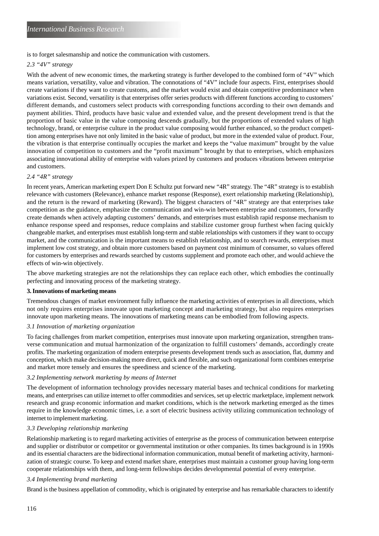is to forget salesmanship and notice the communication with customers.

#### *2.3 "4V" strategy*

With the advent of new economic times, the marketing strategy is further developed to the combined form of "4V" which means variation, versatility, value and vibration. The connotations of "4V" include four aspects. First, enterprises should create variations if they want to create customs, and the market would exist and obtain competitive predominance when variations exist. Second, versatility is that enterprises offer series products with different functions according to customers' different demands, and customers select products with corresponding functions according to their own demands and payment abilities. Third, products have basic value and extended value, and the present development trend is that the proportion of basic value in the value composing descends gradually, but the proportions of extended values of high technology, brand, or enterprise culture in the product value composing would further enhanced, so the product competition among enterprises have not only limited in the basic value of product, but more in the extended value of product. Four, the vibration is that enterprise continually occupies the market and keeps the "value maximum" brought by the value innovation of competition to customers and the "profit maximum" brought by that to enterprises, which emphasizes associating innovational ability of enterprise with values prized by customers and produces vibrations between enterprise and customers.

#### *2.4 "4R" strategy*

In recent years, American marketing expert Don E Schultz put forward new "4R" strategy. The "4R" strategy is to establish relevance with customers (Relevance), enhance market response (Response), exert relationship marketing (Relationship), and the return is the reward of marketing (Reward). The biggest characters of "4R" strategy are that enterprises take competition as the guidance, emphasize the communication and win-win between enterprise and customers, forwardly create demands when actively adapting customers' demands, and enterprises must establish rapid response mechanism to enhance response speed and responses, reduce complains and stabilize customer group furthest when facing quickly changeable market, and enterprises must establish long-term and stable relationships with customers if they want to occupy market, and the communication is the important means to establish relationship, and to search rewards, enterprises must implement low cost strategy, and obtain more customers based on payment cost minimum of consumer, so values offered for customers by enterprises and rewards searched by customs supplement and promote each other, and would achieve the effects of win-win objectively.

The above marketing strategies are not the relationships they can replace each other, which embodies the continually perfecting and innovating process of the marketing strategy.

#### **3. Innovations of marketing means**

Tremendous changes of market environment fully influence the marketing activities of enterprises in all directions, which not only requires enterprises innovate upon marketing concept and marketing strategy, but also requires enterprises innovate upon marketing means. The innovations of marketing means can be embodied from following aspects.

# *3.1 Innovation of marketing organization*

To facing challenges from market competition, enterprises must innovate upon marketing organization, strengthen transverse communication and mutual harmonization of the organization to fulfill customers' demands, accordingly create profits. The marketing organization of modern enterprise presents development trends such as association, flat, dummy and conception, which make decision-making more direct, quick and flexible, and such organizational form combines enterprise and market more tensely and ensures the speediness and science of the marketing.

#### *3.2 Implementing network marketing by means of Internet*

The development of information technology provides necessary material bases and technical conditions for marketing means, and enterprises can utilize internet to offer commodities and services, set up electric marketplace, implement network research and grasp economic information and market conditions, which is the network marketing emerged as the times require in the knowledge economic times, i.e. a sort of electric business activity utilizing communication technology of internet to implement marketing.

#### *3.3 Developing relationship marketing*

Relationship marketing is to regard marketing activities of enterprise as the process of communication between enterprise and supplier or distributor or competitor or governmental institution or other companies. Its times background is in 1990s and its essential characters are the bidirectional information communication, mutual benefit of marketing activity, harmonization of strategic course. To keep and extend market share, enterprises must maintain a customer group having long-term cooperate relationships with them, and long-term fellowships decides developmental potential of every enterprise.

# *3.4 Implementing brand marketing*

Brand is the business appellation of commodity, which is originated by enterprise and has remarkable characters to identify